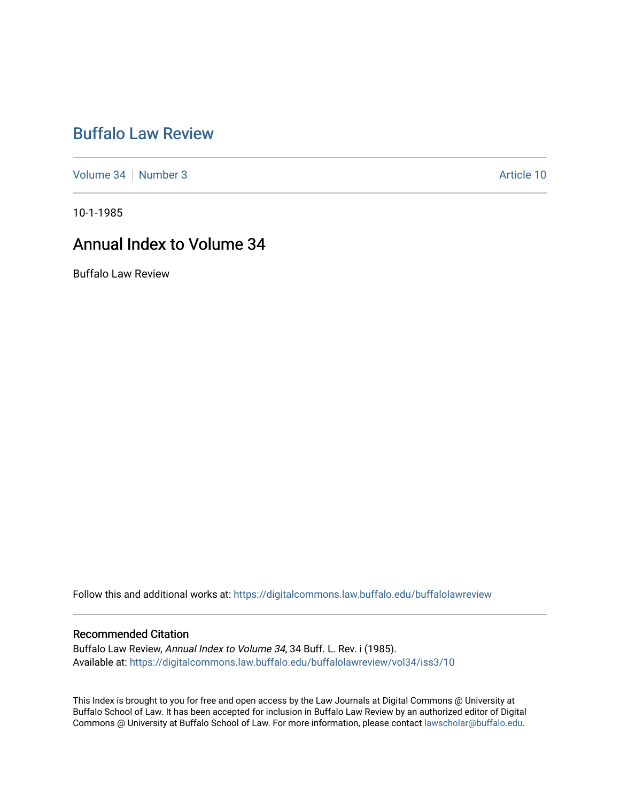# [Buffalo Law Review](https://digitalcommons.law.buffalo.edu/buffalolawreview)

[Volume 34](https://digitalcommons.law.buffalo.edu/buffalolawreview/vol34) | [Number 3](https://digitalcommons.law.buffalo.edu/buffalolawreview/vol34/iss3) Article 10

10-1-1985

# Annual Index to Volume 34

Buffalo Law Review

Follow this and additional works at: [https://digitalcommons.law.buffalo.edu/buffalolawreview](https://digitalcommons.law.buffalo.edu/buffalolawreview?utm_source=digitalcommons.law.buffalo.edu%2Fbuffalolawreview%2Fvol34%2Fiss3%2F10&utm_medium=PDF&utm_campaign=PDFCoverPages) 

#### Recommended Citation

Buffalo Law Review, Annual Index to Volume 34, 34 Buff. L. Rev. i (1985). Available at: [https://digitalcommons.law.buffalo.edu/buffalolawreview/vol34/iss3/10](https://digitalcommons.law.buffalo.edu/buffalolawreview/vol34/iss3/10?utm_source=digitalcommons.law.buffalo.edu%2Fbuffalolawreview%2Fvol34%2Fiss3%2F10&utm_medium=PDF&utm_campaign=PDFCoverPages)

This Index is brought to you for free and open access by the Law Journals at Digital Commons @ University at Buffalo School of Law. It has been accepted for inclusion in Buffalo Law Review by an authorized editor of Digital Commons @ University at Buffalo School of Law. For more information, please contact [lawscholar@buffalo.edu](mailto:lawscholar@buffalo.edu).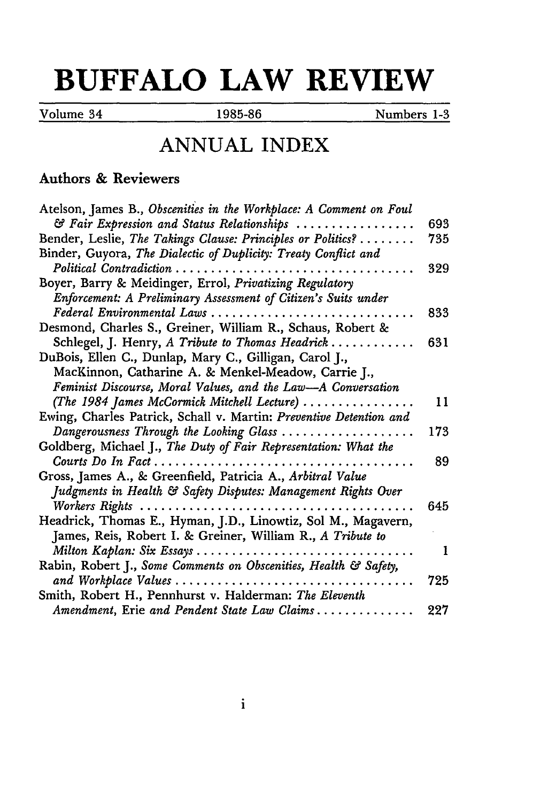# **BUFFALO LAW REVIEW**

Volume 34 1985-86 Numbers **1-3**

## **ANNUAL INDEX**

#### Authors & Reviewers

| Atelson, James B., Obscenities in the Workplace: A Comment on Foul                  |     |
|-------------------------------------------------------------------------------------|-----|
| & Fair Expression and Status Relationships                                          | 693 |
| Bender, Leslie, The Takings Clause: Principles or Politics?                         | 735 |
| Binder, Guyora, The Dialectic of Duplicity: Treaty Conflict and                     |     |
| Political Contradiction                                                             | 329 |
| Boyer, Barry & Meidinger, Errol, Privatizing Regulatory                             |     |
| Enforcement: A Preliminary Assessment of Citizen's Suits under                      |     |
| Federal Environmental Laws                                                          | 833 |
| Desmond, Charles S., Greiner, William R., Schaus, Robert &                          |     |
| Schlegel, J. Henry, A Tribute to Thomas Headrick                                    | 631 |
| DuBois, Ellen C., Dunlap, Mary C., Gilligan, Carol J.,                              |     |
| MacKinnon, Catharine A. & Menkel-Meadow, Carrie J.,                                 |     |
| Feminist Discourse, Moral Values, and the Law-A Conversation                        |     |
| (The 1984 James McCormick Mitchell Lecture)                                         | 11  |
| Ewing, Charles Patrick, Schall v. Martin: Preventive Detention and                  |     |
| Dangerousness Through the Looking Glass $\ldots \ldots \ldots \ldots \ldots \ldots$ | 173 |
| Goldberg, Michael J., The Duty of Fair Representation: What the                     |     |
| Courts Do In Fact                                                                   | 89  |
| Gross, James A., & Greenfield, Patricia A., Arbitral Value                          |     |
| Judgments in Health & Safety Disputes: Management Rights Over                       |     |
| Workers Rights                                                                      | 645 |
| Headrick, Thomas E., Hyman, J.D., Linowtiz, Sol M., Magavern,                       |     |
| James, Reis, Robert I. & Greiner, William R., A Tribute to                          |     |
|                                                                                     | 1   |
| Rabin, Robert J., Some Comments on Obscenities, Health & Safety,                    |     |
| and Workplace Values                                                                | 725 |
| Smith, Robert H., Pennhurst v. Halderman: The Eleventh                              |     |
| Amendment, Erie and Pendent State Law Claims                                        | 227 |
|                                                                                     |     |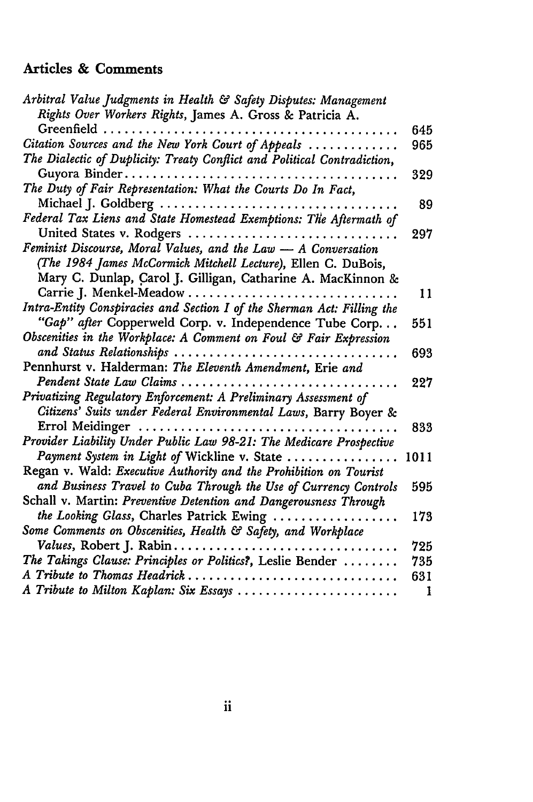### Articles **&** Comments

| Arbitral Value Judgments in Health & Safety Disputes: Management         |      |
|--------------------------------------------------------------------------|------|
| Rights Over Workers Rights, James A. Gross & Patricia A.                 |      |
|                                                                          | 645  |
| Citation Sources and the New York Court of Appeals                       | 965  |
| The Dialectic of Duplicity: Treaty Conflict and Political Contradiction, |      |
|                                                                          | 329  |
| The Duty of Fair Representation: What the Courts Do In Fact,             |      |
| Michael J. Goldberg                                                      | 89   |
| Federal Tax Liens and State Homestead Exemptions: The Aftermath of       |      |
| United States v. Rodgers                                                 | 297  |
| Feminist Discourse, Moral Values, and the Law - A Conversation           |      |
| (The 1984 James McCormick Mitchell Lecture), Ellen C. DuBois,            |      |
| Mary C. Dunlap, Carol J. Gilligan, Catharine A. MacKinnon &              |      |
| Carrie J. Menkel-Meadow                                                  | 11   |
| Intra-Entity Conspiracies and Section I of the Sherman Act: Filling the  |      |
| "Gap" after Copperweld Corp. v. Independence Tube Corp.                  | 551  |
| Obscenities in the Workplace: A Comment on Foul & Fair Expression        |      |
| and Status Relationships                                                 | 693  |
| Pennhurst v. Halderman: The Eleventh Amendment, Erie and                 |      |
| Pendent State Law Claims                                                 | 227  |
| Privatizing Regulatory Enforcement: A Preliminary Assessment of          |      |
| Citizens' Suits under Federal Environmental Laws, Barry Boyer &          |      |
| Errol Meidinger                                                          | 833  |
| Provider Liability Under Public Law 98-21: The Medicare Prospective      |      |
| Payment System in Light of Wickline v. State                             | 1011 |
| Regan v. Wald: Executive Authority and the Prohibition on Tourist        |      |
| and Business Travel to Cuba Through the Use of Currency Controls         | 595  |
| Schall v. Martin: Preventive Detention and Dangerousness Through         |      |
| the Looking Glass, Charles Patrick Ewing                                 | 173  |
| Some Comments on Obscenities, Health & Safety, and Workplace             |      |
| Values, Robert J. Rabin                                                  | 725  |
| The Takings Clause: Principles or Politics?, Leslie Bender               | 735  |
| A Tribute to Thomas Headrick                                             | 631  |
| A Tribute to Milton Kaplan: Six Essays                                   | 1    |
|                                                                          |      |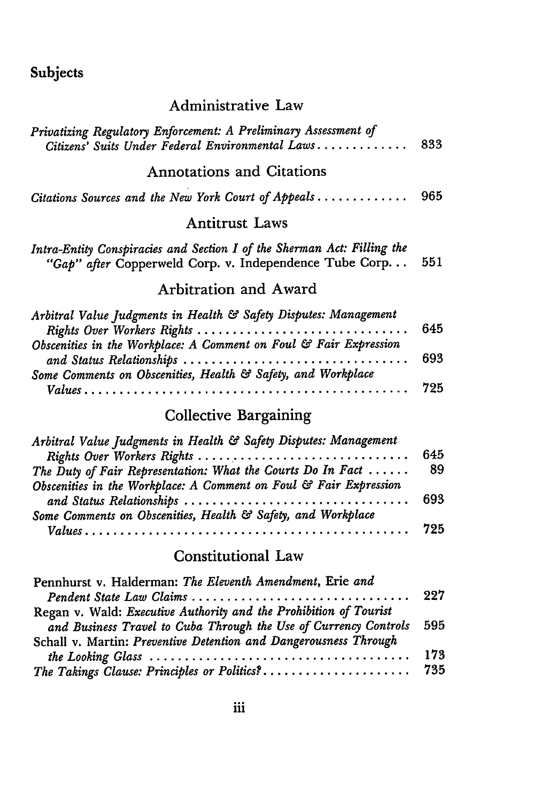## Subjects

#### Administrative Law

| Privatizing Regulatory Enforcement: A Preliminary Assessment of<br>Citizens' Suits Under Federal Environmental Laws                                                                                                                                             | 833        |
|-----------------------------------------------------------------------------------------------------------------------------------------------------------------------------------------------------------------------------------------------------------------|------------|
| <b>Annotations and Citations</b>                                                                                                                                                                                                                                |            |
| Citations Sources and the New York Court of Appeals                                                                                                                                                                                                             | 965        |
| <b>Antitrust Laws</b>                                                                                                                                                                                                                                           |            |
| Intra-Entity Conspiracies and Section I of the Sherman Act: Filling the<br>"Gap" after Copperweld Corp. v. Independence Tube Corp                                                                                                                               | 551        |
| Arbitration and Award                                                                                                                                                                                                                                           |            |
| Arbitral Value Judgments in Health & Safety Disputes: Management<br>Rights Over Workers Rights<br>Obscenities in the Workplace: A Comment on Foul & Fair Expression<br>and Status Relationships<br>Some Comments on Obscenities, Health & Safety, and Workplace | 645<br>693 |
|                                                                                                                                                                                                                                                                 | 725        |

# Collective Bargaining

| Arbitral Value Judgments in Health & Safety Disputes: Management      |     |
|-----------------------------------------------------------------------|-----|
| Rights Over Workers Rights                                            | 645 |
| The Duty of Fair Representation: What the Courts Do In Fact $\dots$ . | 89  |
| Obscenities in the Workplace: A Comment on Foul & Fair Expression     |     |
|                                                                       |     |
| Some Comments on Obscenities, Health & Safety, and Workplace          |     |
|                                                                       |     |

#### Constitutional Law

| Pennhurst v. Halderman: The Eleventh Amendment, Erie and          |     |
|-------------------------------------------------------------------|-----|
|                                                                   |     |
| Regan v. Wald: Executive Authority and the Prohibition of Tourist |     |
| and Business Travel to Cuba Through the Use of Currency Controls  | 595 |
| Schall v. Martin: Preventive Detention and Dangerousness Through  |     |
|                                                                   | 173 |
| The Takings Clause: Principles or Politics?                       | 735 |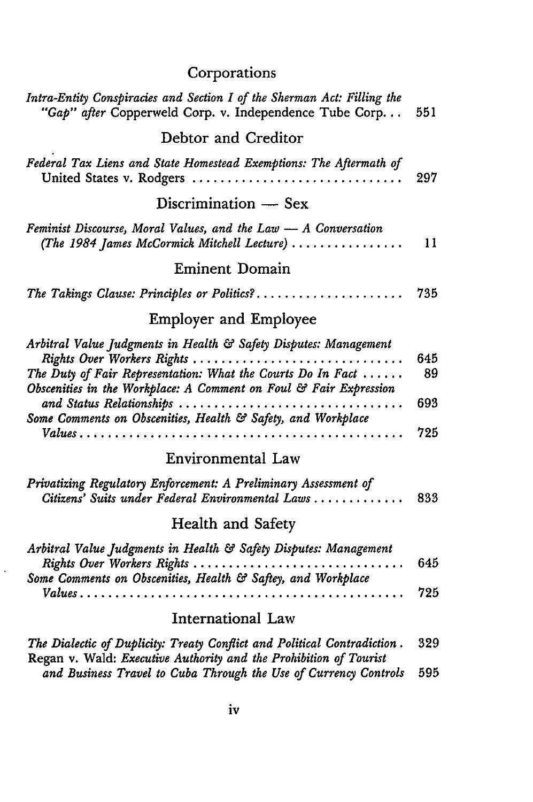# Corporations

| Intra-Entity Conspiracies and Section I of the Sherman Act: Filling the<br>"Gap" after Copperweld Corp. v. Independence Tube Corp<br>551                                                                                                                                                                                                                            |  |
|---------------------------------------------------------------------------------------------------------------------------------------------------------------------------------------------------------------------------------------------------------------------------------------------------------------------------------------------------------------------|--|
| Debtor and Creditor                                                                                                                                                                                                                                                                                                                                                 |  |
| Federal Tax Liens and State Homestead Exemptions: The Aftermath of<br>297<br>United States v. Rodgers                                                                                                                                                                                                                                                               |  |
| Discrimination — Sex                                                                                                                                                                                                                                                                                                                                                |  |
| Feminist Discourse, Moral Values, and the Law - A Conversation<br>(The 1984 James McCormick Mitchell Lecture)<br>11                                                                                                                                                                                                                                                 |  |
| <b>Eminent Domain</b>                                                                                                                                                                                                                                                                                                                                               |  |
| The Takings Clause: Principles or Politics?<br>735                                                                                                                                                                                                                                                                                                                  |  |
| <b>Employer and Employee</b>                                                                                                                                                                                                                                                                                                                                        |  |
| Arbitral Value Judgments in Health & Safety Disputes: Management<br>Rights Over Workers Rights<br>645<br>The Duty of Fair Representation: What the Courts Do In Fact $\dots$ .<br>89<br>Obscenities in the Workplace: A Comment on Foul & Fair Expression<br>and Status Relationships<br>693<br>Some Comments on Obscenities, Health & Safety, and Workplace<br>725 |  |
| Environmental Law                                                                                                                                                                                                                                                                                                                                                   |  |
| Privatizing Regulatory Enforcement: A Preliminary Assessment of<br>Citizens' Suits under Federal Environmental Laws<br>833                                                                                                                                                                                                                                          |  |
| Health and Safety                                                                                                                                                                                                                                                                                                                                                   |  |
| Arbitral Value Judgments in Health & Safety Disputes: Management<br>Rights Over Workers Rights<br>645<br>Some Comments on Obscenities, Health & Saftey, and Workplace                                                                                                                                                                                               |  |
| 725                                                                                                                                                                                                                                                                                                                                                                 |  |
| International Law                                                                                                                                                                                                                                                                                                                                                   |  |
| 329<br>The Dialectic of Duplicity: Treaty Conflict and Political Contradiction.<br>Regan v. Wald: Executive Authority and the Prohibition of Tourist<br>and Business Travel to Cuba Through the Use of Currency Controls<br>595                                                                                                                                     |  |

 $\ddot{\phantom{0}}$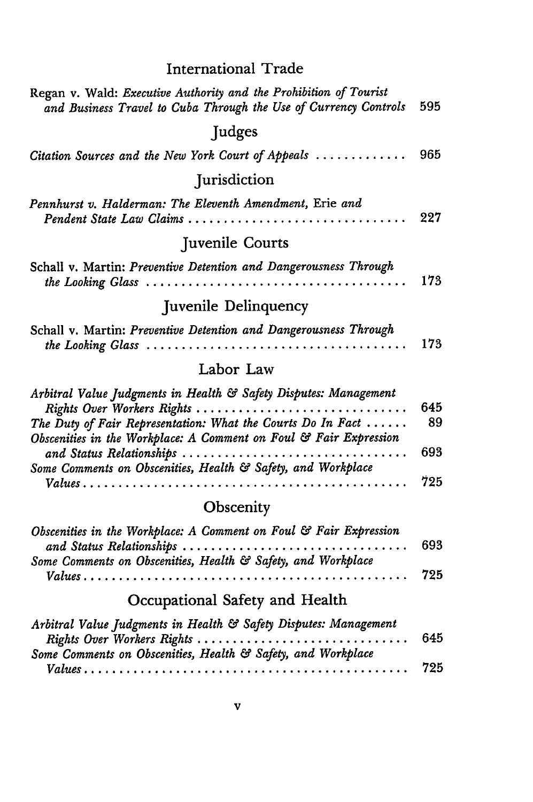| <b>International Trade</b> |  |
|----------------------------|--|
|----------------------------|--|

| Regan v. Wald: Executive Authority and the Prohibition of Tourist<br>and Business Travel to Cuba Through the Use of Currency Controls                                                                                                                                                                                                    | 595              |
|------------------------------------------------------------------------------------------------------------------------------------------------------------------------------------------------------------------------------------------------------------------------------------------------------------------------------------------|------------------|
| Judges                                                                                                                                                                                                                                                                                                                                   |                  |
| Citation Sources and the New York Court of Appeals                                                                                                                                                                                                                                                                                       | 965              |
| Jurisdiction                                                                                                                                                                                                                                                                                                                             |                  |
| Pennhurst v. Halderman: The Eleventh Amendment, Erie and<br>Pendent State Law Claims                                                                                                                                                                                                                                                     | 227              |
| Juvenile Courts                                                                                                                                                                                                                                                                                                                          |                  |
| Schall v. Martin: Preventive Detention and Dangerousness Through<br>the Looking Glass                                                                                                                                                                                                                                                    | 173              |
| Juvenile Delinquency                                                                                                                                                                                                                                                                                                                     |                  |
| Schall v. Martin: Preventive Detention and Dangerousness Through                                                                                                                                                                                                                                                                         | 173              |
| Labor Law                                                                                                                                                                                                                                                                                                                                |                  |
| Arbitral Value Judgments in Health & Safety Disputes: Management<br>Rights Over Workers Rights<br>The Duty of Fair Representation: What the Courts Do In Fact $\dots$ .<br>Obscenities in the Workplace: A Comment on Foul & Fair Expression<br>and Status Relationships<br>Some Comments on Obscenities, Health & Safety, and Workplace | 645<br>89<br>693 |
|                                                                                                                                                                                                                                                                                                                                          | 725              |
| Obscenity                                                                                                                                                                                                                                                                                                                                |                  |
| Obscenities in the Workplace: A Comment on Foul & Fair Expression<br>and Status Relationships<br>Some Comments on Obscenities, Health & Safety, and Workplace                                                                                                                                                                            | 693<br>725       |
|                                                                                                                                                                                                                                                                                                                                          |                  |

# Occupational Safety and Health

| Arbitral Value Judgments in Health & Safety Disputes: Management |     |
|------------------------------------------------------------------|-----|
| Rights Over Workers Rights                                       | 645 |
| Some Comments on Obscenities, Health & Safety, and Workplace     |     |
|                                                                  | 725 |